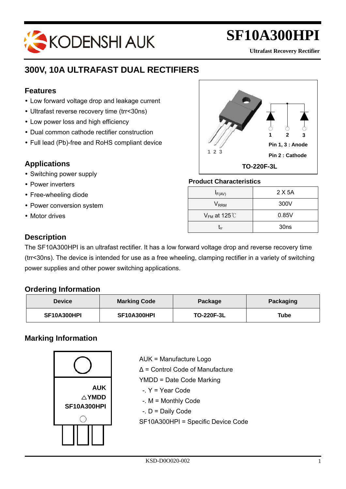# KODENSHI AUK

# **SF10A300HPI**

**Ultrafast Recovery Rectifier**

### **300V, 10A ULTRAFAST DUAL RECTIFIERS**

#### **Features**

j

- Low forward voltage drop and leakage current
- Ultrafast reverse recovery time (trr<30ns)
- Low power loss and high efficiency
- Dual common cathode rectifier construction
- Full lead (Pb)-free and RoHS compliant device

#### **Applications**

- Switching power supply
- Power inverters
- Free-wheeling diode
- Power conversion system
- Motor drives



#### **Product Characteristics**

| $I_{F(AV)}$                 | 2 X 5A           |
|-----------------------------|------------------|
| $\mathsf{V}_{\mathsf{RRM}}$ | 300V             |
| $V_{FM}$ at 125 $°C$        | 0.85V            |
| Гrr                         | 30 <sub>ns</sub> |

#### **Description**

The SF10A300HPI is an ultrafast rectifier. It has a low forward voltage drop and reverse recovery time (trr<30ns). The device is intended for use as a free wheeling, clamping rectifier in a variety of switching power supplies and other power switching applications.

#### **Ordering Information**

| <b>Device</b> | <b>Marking Code</b> | Package           | <b>Packaging</b> |
|---------------|---------------------|-------------------|------------------|
| SF10A300HPI   | SF10A300HPI         | <b>TO-220F-3L</b> | Tube             |

### **Marking Information**



AUK = Manufacture Logo ∆ = Control Code of Manufacture YMDD = Date Code Marking -. Y = Year Code -. M = Monthly Code -. D = Daily Code SF10A300HPI = Specific Device Code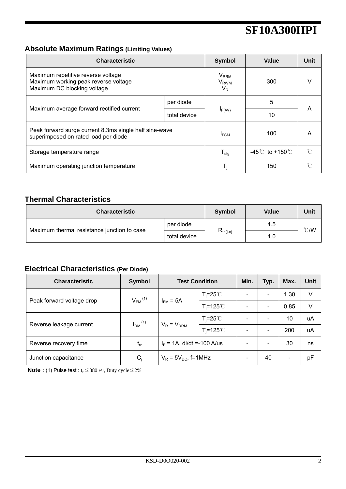### **Absolute Maximum Ratings (Limiting Values)**

| <b>Characteristic</b>                                                                                     |              | <b>Symbol</b>                                   | Value                            | Unit |  |
|-----------------------------------------------------------------------------------------------------------|--------------|-------------------------------------------------|----------------------------------|------|--|
| Maximum repetitive reverse voltage<br>Maximum working peak reverse voltage<br>Maximum DC blocking voltage |              | $V_{RRM}$<br><b>V</b> <sub>RWM</sub><br>$V_{R}$ | 300                              | V    |  |
|                                                                                                           | per diode    |                                                 | 5                                |      |  |
| Maximum average forward rectified current                                                                 | total device | $I_{F(AV)}$                                     | 10                               | A    |  |
| Peak forward surge current 8.3ms single half sine-wave<br>superimposed on rated load per diode            | <b>IFSM</b>  | 100                                             | A                                |      |  |
| Storage temperature range                                                                                 |              | ${\mathsf T}_{\textsf{stg}}$                    | $-45^{\circ}$ to +150 $^{\circ}$ | n    |  |
| Maximum operating junction temperature                                                                    |              | T,                                              | 150                              | ∽    |  |

### **Thermal Characteristics**

| <b>Characteristic</b>                       |              | <b>Symbol</b> | Value | Unit             |  |
|---------------------------------------------|--------------|---------------|-------|------------------|--|
| Maximum thermal resistance junction to case | per diode    |               | 4.5   | $\mathcal{C}$ /W |  |
|                                             | total device | $R_{th(j-c)}$ | 4.0   |                  |  |

### **Electrical Characteristics (Per Diode)**

| <b>Characteristic</b>     | <b>Symbol</b>           | <b>Test Condition</b>         |                      | Min.                     | Typ.                         | Max.                     | Unit |
|---------------------------|-------------------------|-------------------------------|----------------------|--------------------------|------------------------------|--------------------------|------|
| Peak forward voltage drop | $V_{FM}$ <sup>(1)</sup> | $I_{FM}$ = 5A                 | $T_i = 25^{\circ}C$  |                          | $\qquad \qquad \blacksquare$ | 1.30                     | V    |
|                           |                         |                               | $T_i = 125^{\circ}C$ |                          | $\qquad \qquad \blacksquare$ | 0.85                     | V    |
| Reverse leakage current   | $I_{RM}$ <sup>(1)</sup> | $V_R = V_{RRM}$               | $T_i = 25^{\circ}C$  |                          | $\overline{\phantom{a}}$     | 10                       | uA   |
|                           |                         |                               | $T_i = 125$ °C       |                          | $\overline{\phantom{0}}$     | 200                      | uA   |
| Reverse recovery time     | $t_{rr}$                | $I_F = 1A$ , di/dt =-100 A/us |                      | $\overline{\phantom{0}}$ | 30                           | ns                       |      |
| Junction capacitance      | $C_i$                   | $V_R$ = 5 $V_{DC}$ , f=1MHz   |                      |                          | 40                           | $\overline{\phantom{a}}$ | pF   |

**Note :** (1) Pulse test :  $t_P \le 380 \text{ }\mu\text{s}$ , Duty cycle  $\le 2\%$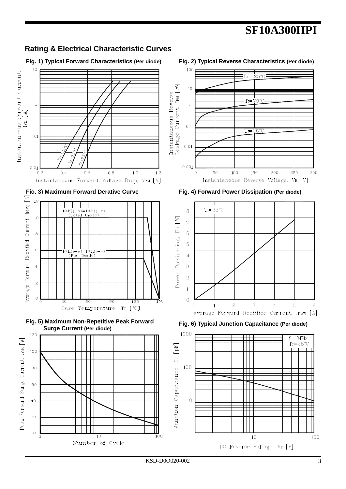

**Rating & Electrical Characteristic Curves**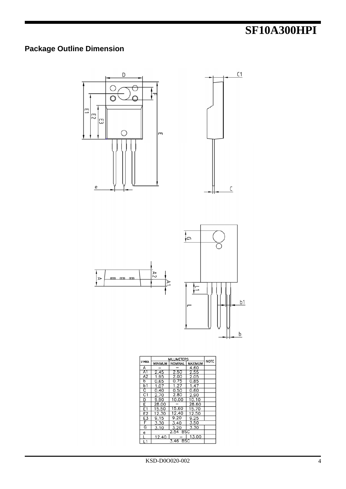### **Package Outline Dimension**









|                         | <b>MILLIMETERS</b> |          |                                  |  |
|-------------------------|--------------------|----------|----------------------------------|--|
| <b>SYMBOL</b>           | <b>MINIMUM</b>     |          | <b>NOMINAL</b><br><b>MAXIMUM</b> |  |
| A                       |                    |          | 4.60                             |  |
| A <sub>1</sub>          | 2.45               | 2.50     | 2.55                             |  |
| A2                      | 1.95               | 2.00     | 2.05                             |  |
| b                       | 0.65               | 0.75     | 0.85                             |  |
| b1                      | 1.07               | 1.27     | 1.47                             |  |
| $\overline{\mathsf{c}}$ | 0.40               | 0.50     | 0.60                             |  |
| C <sub>1</sub>          | 2.70               | 2.80     | 2.90                             |  |
| D                       | 9.90               | 10.00    | 10.10                            |  |
| E                       | 28.00              |          | 28.60                            |  |
| E1                      | 15.50              | 15.60    | 15.70                            |  |
| E2                      | 12.30              | 12.40    | 12.50                            |  |
| E3                      | 9.15               | 9.20     | 9.25                             |  |
| F                       | 3.30               | 3.40     | 3.50                             |  |
| $\overline{\mathsf{G}}$ | 3.10               | 3.20     | 3.30                             |  |
| е                       | 2.54 BSC           |          |                                  |  |
|                         | 12.40              | 3.46 BSC | 13.00                            |  |
| L1                      |                    |          |                                  |  |